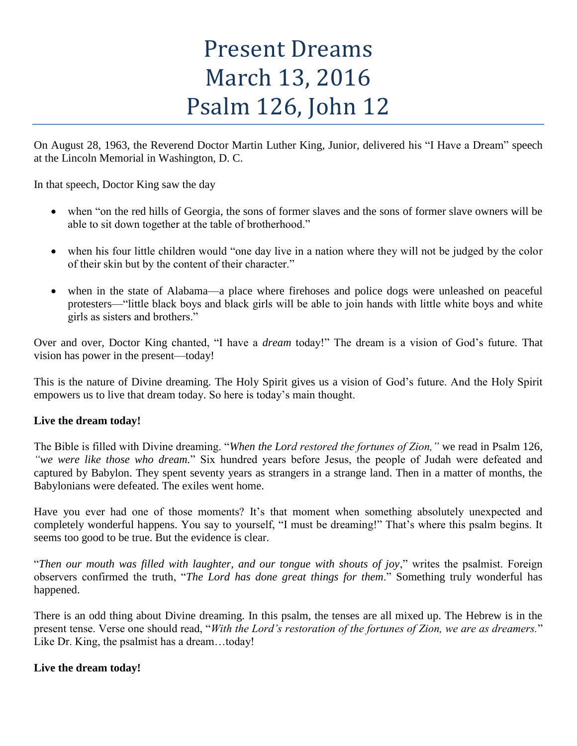# Present Dreams March 13, 2016 Psalm 126, John 12

On August 28, 1963, the Reverend Doctor Martin Luther King, Junior, delivered his "I Have a Dream" speech at the Lincoln Memorial in Washington, D. C.

In that speech, Doctor King saw the day

- when "on the red hills of Georgia, the sons of former slaves and the sons of former slave owners will be able to sit down together at the table of brotherhood."
- when his four little children would "one day live in a nation where they will not be judged by the color of their skin but by the content of their character."
- when in the state of Alabama—a place where firehoses and police dogs were unleashed on peaceful protesters—"little black boys and black girls will be able to join hands with little white boys and white girls as sisters and brothers."

Over and over, Doctor King chanted, "I have a *dream* today!" The dream is a vision of God's future. That vision has power in the present—today!

This is the nature of Divine dreaming. The Holy Spirit gives us a vision of God's future. And the Holy Spirit empowers us to live that dream today. So here is today's main thought.

## **Live the dream today!**

The Bible is filled with Divine dreaming. "*When the Lord restored the fortunes of Zion,"* we read in Psalm 126, *"we were like those who dream.*" Six hundred years before Jesus, the people of Judah were defeated and captured by Babylon. They spent seventy years as strangers in a strange land. Then in a matter of months, the Babylonians were defeated. The exiles went home.

Have you ever had one of those moments? It's that moment when something absolutely unexpected and completely wonderful happens. You say to yourself, "I must be dreaming!" That's where this psalm begins. It seems too good to be true. But the evidence is clear.

"*Then our mouth was filled with laughter, and our tongue with shouts of joy*," writes the psalmist. Foreign observers confirmed the truth, "*The Lord has done great things for them*." Something truly wonderful has happened.

There is an odd thing about Divine dreaming. In this psalm, the tenses are all mixed up. The Hebrew is in the present tense. Verse one should read, "*With the Lord's restoration of the fortunes of Zion, we are as dreamers.*" Like Dr. King, the psalmist has a dream...today!

## **Live the dream today!**